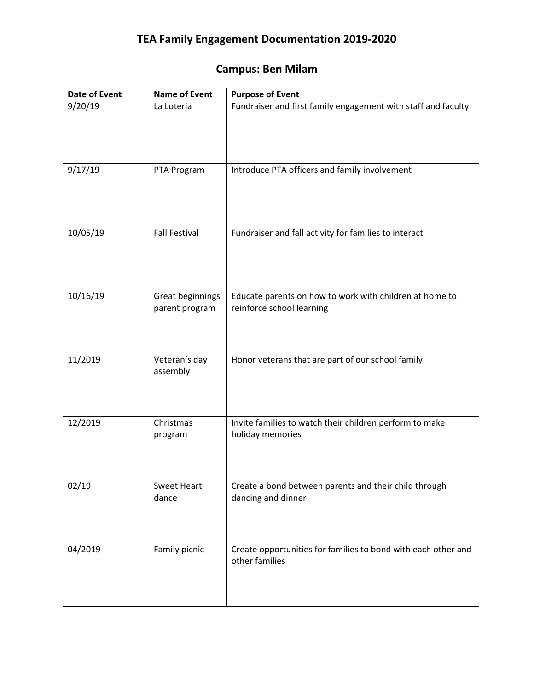## **TEA Family Engagement Documentation 2019-2020**

## **Campus: Ben Milam**

| <b>Date of Event</b> | <b>Name of Event</b>               | <b>Purpose of Event</b>                                                              |
|----------------------|------------------------------------|--------------------------------------------------------------------------------------|
| 9/20/19              | La Loteria                         | Fundraiser and first family engagement with staff and faculty.                       |
| 9/17/19              | PTA Program                        | Introduce PTA officers and family involvement                                        |
| 10/05/19             | <b>Fall Festival</b>               | Fundraiser and fall activity for families to interact                                |
| 10/16/19             | Great beginnings<br>parent program | Educate parents on how to work with children at home to<br>reinforce school learning |
| 11/2019              | Veteran's day<br>assembly          | Honor veterans that are part of our school family                                    |
| 12/2019              | Christmas<br>program               | Invite families to watch their children perform to make<br>holiday memories          |
| 02/19                | <b>Sweet Heart</b><br>dance        | Create a bond between parents and their child through<br>dancing and dinner          |
| 04/2019              | Family picnic                      | Create opportunities for families to bond with each other and<br>other families      |